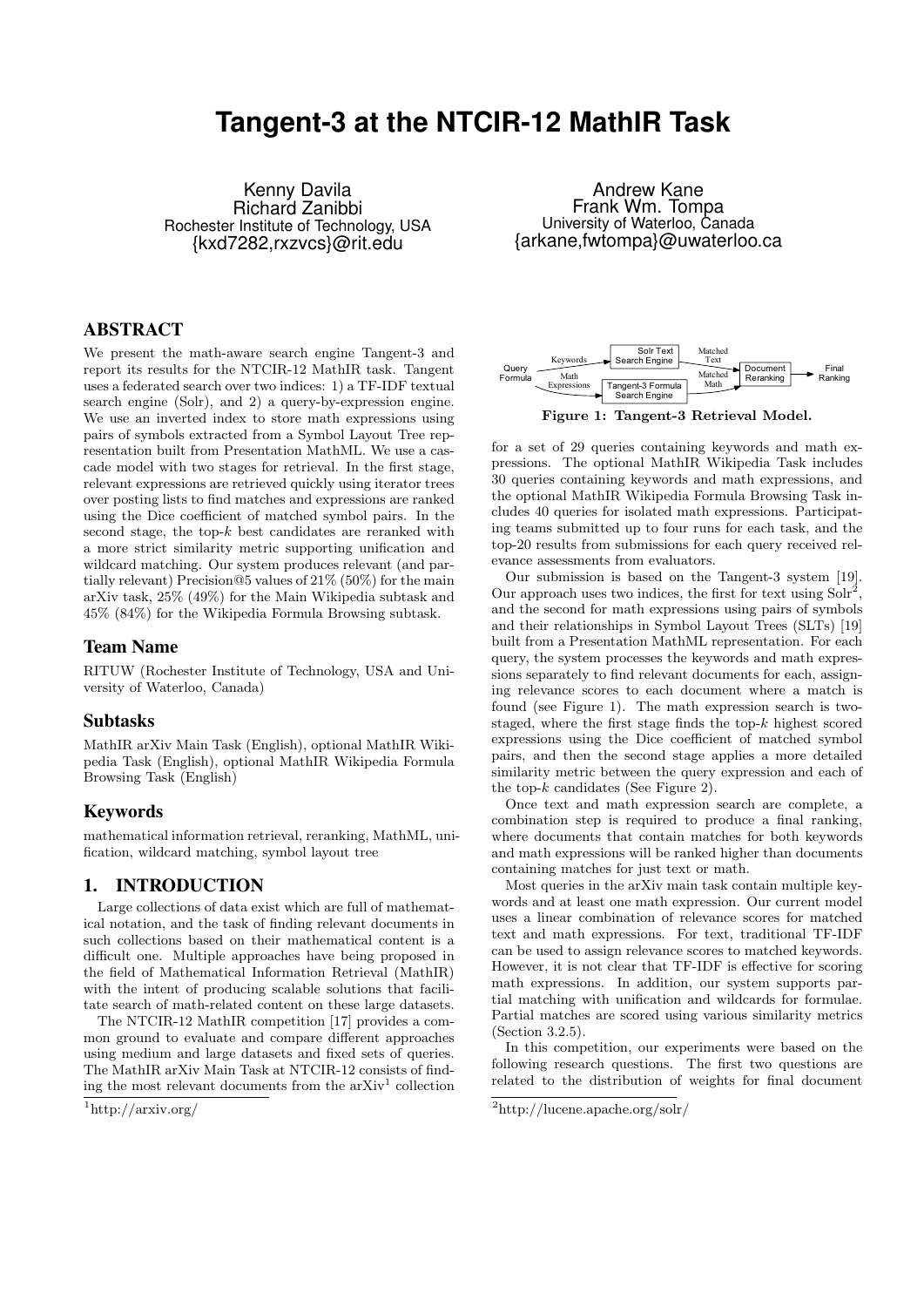# **Tangent-3 at the NTCIR-12 MathIR Task**

Kenny Davila Richard Zanibbi Rochester Institute of Technology, USA {kxd7282,rxzvcs}@rit.edu

## ABSTRACT

We present the math-aware search engine Tangent-3 and report its results for the NTCIR-12 MathIR task. Tangent uses a federated search over two indices: 1) a TF-IDF textual search engine (Solr), and 2) a query-by-expression engine. We use an inverted index to store math expressions using pairs of symbols extracted from a Symbol Layout Tree representation built from Presentation MathML. We use a cascade model with two stages for retrieval. In the first stage, relevant expressions are retrieved quickly using iterator trees over posting lists to find matches and expressions are ranked using the Dice coefficient of matched symbol pairs. In the second stage, the top- $k$  best candidates are reranked with a more strict similarity metric supporting unification and wildcard matching. Our system produces relevant (and partially relevant) Precision@5 values of 21% (50%) for the main arXiv task, 25% (49%) for the Main Wikipedia subtask and 45% (84%) for the Wikipedia Formula Browsing subtask.

## Team Name

RITUW (Rochester Institute of Technology, USA and University of Waterloo, Canada)

## Subtasks

MathIR arXiv Main Task (English), optional MathIR Wikipedia Task (English), optional MathIR Wikipedia Formula Browsing Task (English)

## Keywords

mathematical information retrieval, reranking, MathML, unification, wildcard matching, symbol layout tree

## 1. INTRODUCTION

Large collections of data exist which are full of mathematical notation, and the task of finding relevant documents in such collections based on their mathematical content is a difficult one. Multiple approaches have being proposed in the field of Mathematical Information Retrieval (MathIR) with the intent of producing scalable solutions that facilitate search of math-related content on these large datasets.

The NTCIR-12 MathIR competition [17] provides a common ground to evaluate and compare different approaches using medium and large datasets and fixed sets of queries. The MathIR arXiv Main Task at NTCIR-12 consists of finding the most relevant documents from the  $arXiv<sup>1</sup>$  collection

```
\frac{1}{1}http://arxiv.org/
```
Andrew Kane Frank Wm. Tompa University of Waterloo, Canada {arkane,fwtompa}@uwaterloo.ca



Figure 1: Tangent-3 Retrieval Model.

for a set of 29 queries containing keywords and math expressions. The optional MathIR Wikipedia Task includes 30 queries containing keywords and math expressions, and the optional MathIR Wikipedia Formula Browsing Task includes 40 queries for isolated math expressions. Participating teams submitted up to four runs for each task, and the top-20 results from submissions for each query received relevance assessments from evaluators.

Our submission is based on the Tangent-3 system [19]. Our approach uses two indices, the first for text using  $S\ddot{\mathrm{olr}}^2$ , and the second for math expressions using pairs of symbols and their relationships in Symbol Layout Trees (SLTs) [19] built from a Presentation MathML representation. For each query, the system processes the keywords and math expressions separately to find relevant documents for each, assigning relevance scores to each document where a match is found (see Figure 1). The math expression search is twostaged, where the first stage finds the top- $k$  highest scored expressions using the Dice coefficient of matched symbol pairs, and then the second stage applies a more detailed similarity metric between the query expression and each of the top- $k$  candidates (See Figure 2).

Once text and math expression search are complete, a combination step is required to produce a final ranking, where documents that contain matches for both keywords and math expressions will be ranked higher than documents containing matches for just text or math.

Most queries in the arXiv main task contain multiple keywords and at least one math expression. Our current model uses a linear combination of relevance scores for matched text and math expressions. For text, traditional TF-IDF can be used to assign relevance scores to matched keywords. However, it is not clear that TF-IDF is effective for scoring math expressions. In addition, our system supports partial matching with unification and wildcards for formulae. Partial matches are scored using various similarity metrics (Section 3.2.5).

In this competition, our experiments were based on the following research questions. The first two questions are related to the distribution of weights for final document

<sup>2</sup>http://lucene.apache.org/solr/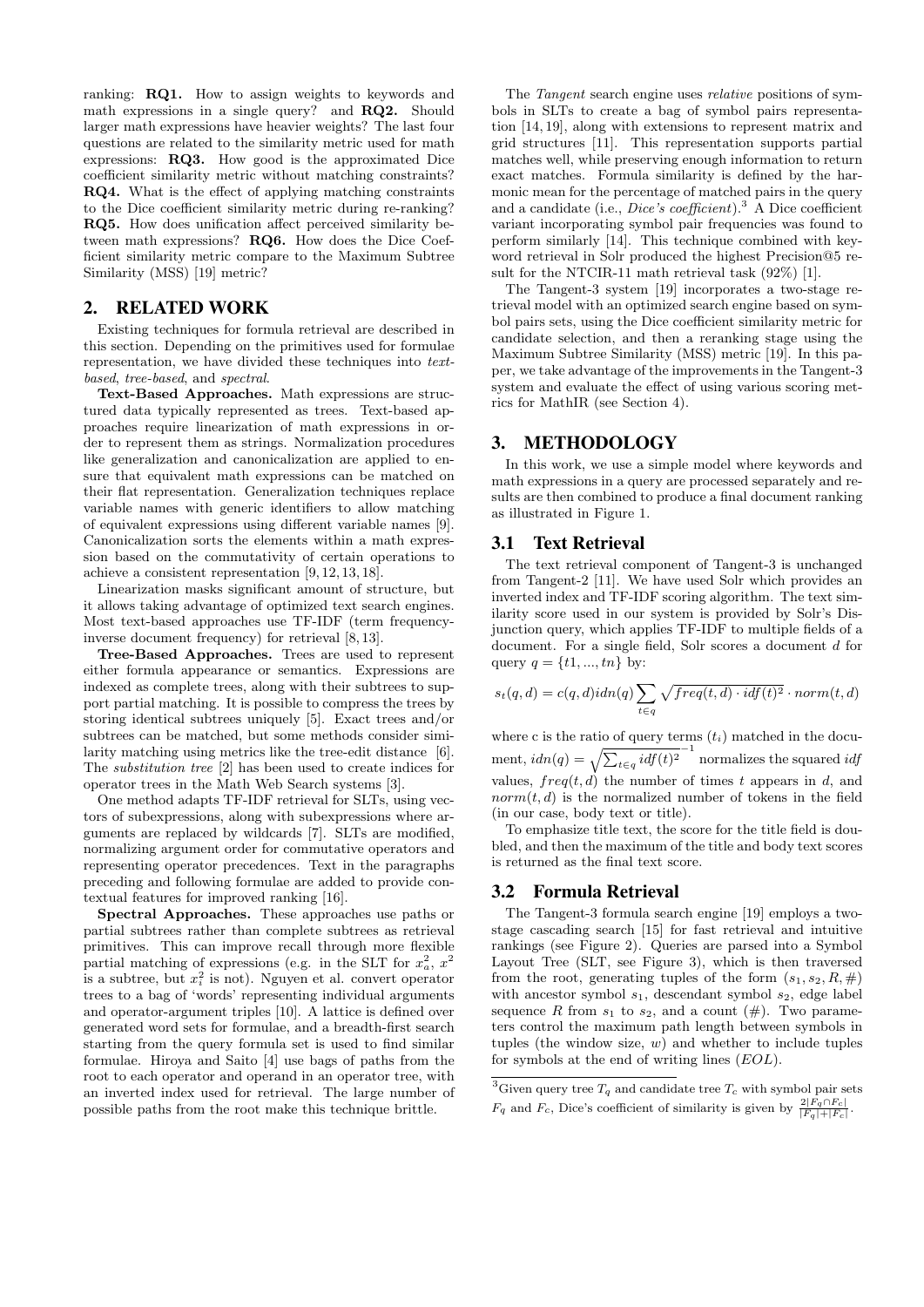ranking: RQ1. How to assign weights to keywords and math expressions in a single query? and RQ2. Should larger math expressions have heavier weights? The last four questions are related to the similarity metric used for math expressions: RQ3. How good is the approximated Dice coefficient similarity metric without matching constraints? RQ4. What is the effect of applying matching constraints to the Dice coefficient similarity metric during re-ranking? RQ5. How does unification affect perceived similarity between math expressions? RQ6. How does the Dice Coefficient similarity metric compare to the Maximum Subtree Similarity (MSS) [19] metric?

## 2. RELATED WORK

Existing techniques for formula retrieval are described in this section. Depending on the primitives used for formulae representation, we have divided these techniques into textbased, tree-based, and spectral.

Text-Based Approaches. Math expressions are structured data typically represented as trees. Text-based approaches require linearization of math expressions in order to represent them as strings. Normalization procedures like generalization and canonicalization are applied to ensure that equivalent math expressions can be matched on their flat representation. Generalization techniques replace variable names with generic identifiers to allow matching of equivalent expressions using different variable names [9]. Canonicalization sorts the elements within a math expression based on the commutativity of certain operations to achieve a consistent representation [9, 12, 13, 18].

Linearization masks significant amount of structure, but it allows taking advantage of optimized text search engines. Most text-based approaches use TF-IDF (term frequencyinverse document frequency) for retrieval [8, 13].

Tree-Based Approaches. Trees are used to represent either formula appearance or semantics. Expressions are indexed as complete trees, along with their subtrees to support partial matching. It is possible to compress the trees by storing identical subtrees uniquely [5]. Exact trees and/or subtrees can be matched, but some methods consider similarity matching using metrics like the tree-edit distance [6]. The substitution tree [2] has been used to create indices for operator trees in the Math Web Search systems [3].

One method adapts TF-IDF retrieval for SLTs, using vectors of subexpressions, along with subexpressions where arguments are replaced by wildcards [7]. SLTs are modified, normalizing argument order for commutative operators and representing operator precedences. Text in the paragraphs preceding and following formulae are added to provide contextual features for improved ranking [16].

Spectral Approaches. These approaches use paths or partial subtrees rather than complete subtrees as retrieval primitives. This can improve recall through more flexible partial matching of expressions (e.g. in the SLT for  $x_a^2$ ,  $x^2$ is a subtree, but  $x_i^2$  is not). Nguyen et al. convert operator trees to a bag of 'words' representing individual arguments and operator-argument triples [10]. A lattice is defined over generated word sets for formulae, and a breadth-first search starting from the query formula set is used to find similar formulae. Hiroya and Saito [4] use bags of paths from the root to each operator and operand in an operator tree, with an inverted index used for retrieval. The large number of possible paths from the root make this technique brittle.

The *Tangent* search engine uses *relative* positions of symbols in SLTs to create a bag of symbol pairs representation [14, 19], along with extensions to represent matrix and grid structures [11]. This representation supports partial matches well, while preserving enough information to return exact matches. Formula similarity is defined by the harmonic mean for the percentage of matched pairs in the query and a candidate (i.e., Dice's coefficient).<sup>3</sup> A Dice coefficient variant incorporating symbol pair frequencies was found to perform similarly [14]. This technique combined with keyword retrieval in Solr produced the highest Precision@5 result for the NTCIR-11 math retrieval task (92%) [1].

The Tangent-3 system [19] incorporates a two-stage retrieval model with an optimized search engine based on symbol pairs sets, using the Dice coefficient similarity metric for candidate selection, and then a reranking stage using the Maximum Subtree Similarity (MSS) metric [19]. In this paper, we take advantage of the improvements in the Tangent-3 system and evaluate the effect of using various scoring metrics for MathIR (see Section 4).

# 3. METHODOLOGY

In this work, we use a simple model where keywords and math expressions in a query are processed separately and results are then combined to produce a final document ranking as illustrated in Figure 1.

## 3.1 Text Retrieval

The text retrieval component of Tangent-3 is unchanged from Tangent-2 [11]. We have used Solr which provides an inverted index and TF-IDF scoring algorithm. The text similarity score used in our system is provided by Solr's Disjunction query, which applies TF-IDF to multiple fields of a document. For a single field, Solr scores a document d for query  $q = \{t1, ..., tn\}$  by:

$$
s_t(q,d) = c(q,d)idn(q) \sum_{t \in q} \sqrt{freq(t,d) \cdot idf(t)^2} \cdot norm(t,d)
$$

where c is the ratio of query terms  $(t_i)$  matched in the document,  $idn(q) = \sqrt{\sum_{t \in q} idf(t)^2}^{-1}$  normalizes the squared  $idf$ values,  $freq(t, d)$  the number of times t appears in d, and  $norm(t, d)$  is the normalized number of tokens in the field (in our case, body text or title).

To emphasize title text, the score for the title field is doubled, and then the maximum of the title and body text scores is returned as the final text score.

## 3.2 Formula Retrieval

The Tangent-3 formula search engine [19] employs a twostage cascading search [15] for fast retrieval and intuitive rankings (see Figure 2). Queries are parsed into a Symbol Layout Tree (SLT, see Figure 3), which is then traversed from the root, generating tuples of the form  $(s_1, s_2, R, \#)$ with ancestor symbol  $s_1$ , descendant symbol  $s_2$ , edge label sequence R from  $s_1$  to  $s_2$ , and a count  $(\#)$ . Two parameters control the maximum path length between symbols in tuples (the window size,  $w$ ) and whether to include tuples for symbols at the end of writing lines (EOL).

<sup>&</sup>lt;sup>3</sup>Given query tree  $T_q$  and candidate tree  $T_c$  with symbol pair sets  $F_q$  and  $F_c$ , Dice's coefficient of similarity is given by  $\frac{2|F_q \cap F_c|}{|F_q|+|F_c|}$ .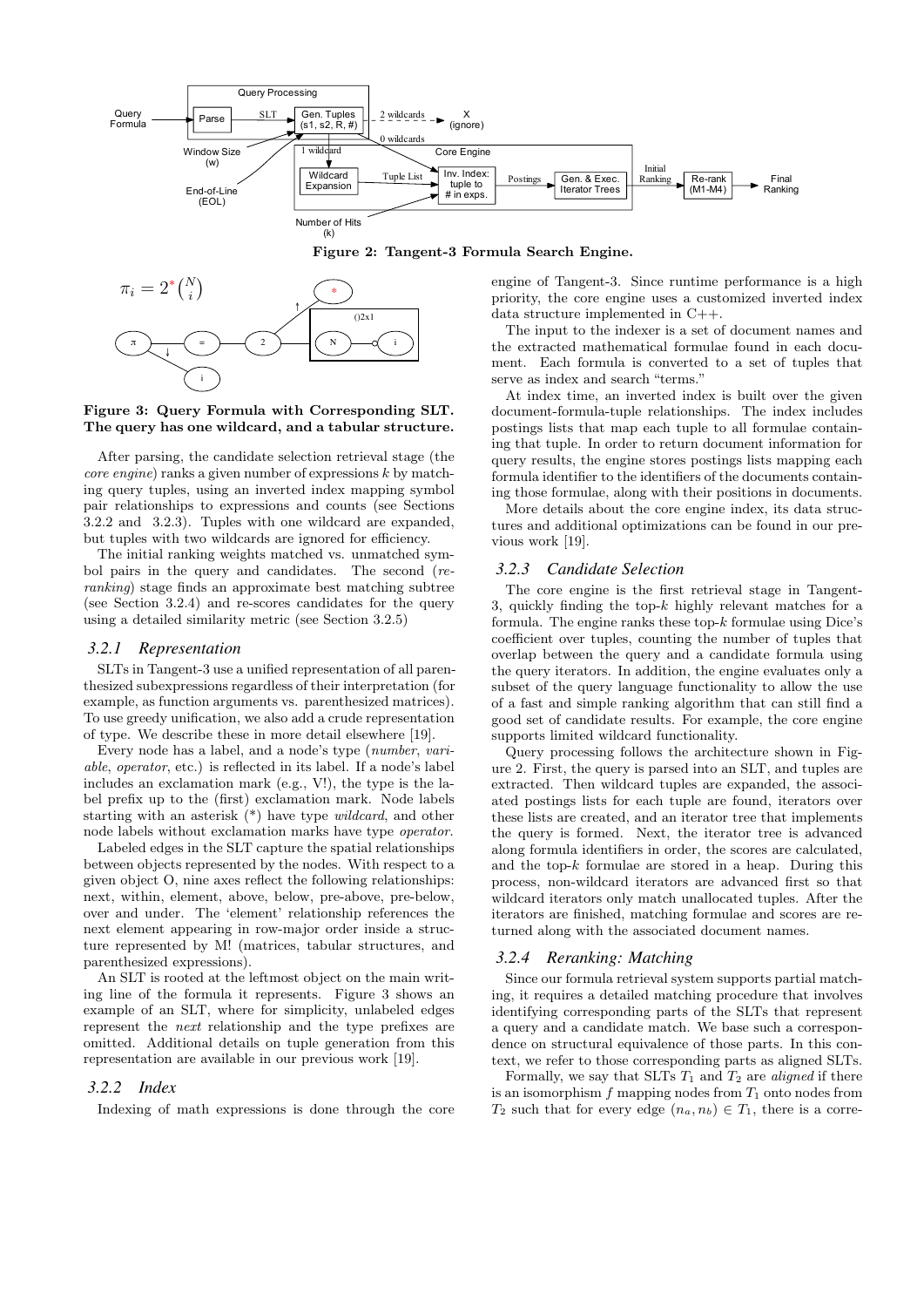

#### Figure 2: Tangent-3 Formula Search Engine.



Figure 3: Query Formula with Corresponding SLT. The query has one wildcard, and a tabular structure.

After parsing, the candidate selection retrieval stage (the *core engine*) ranks a given number of expressions  $k$  by matching query tuples, using an inverted index mapping symbol pair relationships to expressions and counts (see Sections 3.2.2 and 3.2.3). Tuples with one wildcard are expanded, but tuples with two wildcards are ignored for efficiency.

The initial ranking weights matched vs. unmatched symbol pairs in the query and candidates. The second (reranking) stage finds an approximate best matching subtree (see Section 3.2.4) and re-scores candidates for the query using a detailed similarity metric (see Section 3.2.5)

#### *3.2.1 Representation*

To use greedy unification, we also add a crude representation SLTs in Tangent-3 use a unified representation of all parenthesized subexpressions regardless of their interpretation (for example, as function arguments vs. parenthesized matrices). of type. We describe these in more detail elsewhere [19].

Every node has a label, and a node's type (number, variable, operator, etc.) is reflected in its label. If a node's label includes an exclamation mark (e.g., V!), the type is the label prefix up to the (first) exclamation mark. Node labels starting with an asterisk (\*) have type wildcard, and other node labels without exclamation marks have type operator.

Labeled edges in the SLT capture the spatial relationships between objects represented by the nodes. With respect to a given object O, nine axes reflect the following relationships: next, within, element, above, below, pre-above, pre-below, over and under. The 'element' relationship references the next element appearing in row-major order inside a structure represented by M! (matrices, tabular structures, and parenthesized expressions).

An SLT is rooted at the leftmost object on the main writing line of the formula it represents. Figure 3 shows an example of an SLT, where for simplicity, unlabeled edges represent the next relationship and the type prefixes are omitted. Additional details on tuple generation from this representation are available in our previous work [19].

#### *3.2.2 Index*

Indexing of math expressions is done through the core

engine of Tangent-3. Since runtime performance is a high priority, the core engine uses a customized inverted index data structure implemented in C++.

The input to the indexer is a set of document names and the extracted mathematical formulae found in each document. Each formula is converted to a set of tuples that serve as index and search "terms."

At index time, an inverted index is built over the given document-formula-tuple relationships. The index includes postings lists that map each tuple to all formulae containing that tuple. In order to return document information for query results, the engine stores postings lists mapping each formula identifier to the identifiers of the documents containing those formulae, along with their positions in documents.

More details about the core engine index, its data structures and additional optimizations can be found in our previous work [19].

#### *3.2.3 Candidate Selection*

The core engine is the first retrieval stage in Tangent-3, quickly finding the top- $k$  highly relevant matches for a formula. The engine ranks these top- $k$  formulae using Dice's coefficient over tuples, counting the number of tuples that overlap between the query and a candidate formula using the query iterators. In addition, the engine evaluates only a subset of the query language functionality to allow the use of a fast and simple ranking algorithm that can still find a good set of candidate results. For example, the core engine supports limited wildcard functionality.

Query processing follows the architecture shown in Figure 2. First, the query is parsed into an SLT, and tuples are extracted. Then wildcard tuples are expanded, the associated postings lists for each tuple are found, iterators over these lists are created, and an iterator tree that implements the query is formed. Next, the iterator tree is advanced along formula identifiers in order, the scores are calculated, and the top- $k$  formulae are stored in a heap. During this process, non-wildcard iterators are advanced first so that wildcard iterators only match unallocated tuples. After the iterators are finished, matching formulae and scores are returned along with the associated document names.

## *3.2.4 Reranking: Matching*

Since our formula retrieval system supports partial matching, it requires a detailed matching procedure that involves identifying corresponding parts of the SLTs that represent a query and a candidate match. We base such a correspondence on structural equivalence of those parts. In this context, we refer to those corresponding parts as aligned SLTs.

Formally, we say that SLTs  $T_1$  and  $T_2$  are *aligned* if there is an isomorphism  $f$  mapping nodes from  $T_1$  onto nodes from  $T_2$  such that for every edge  $(n_a, n_b) \in T_1$ , there is a corre-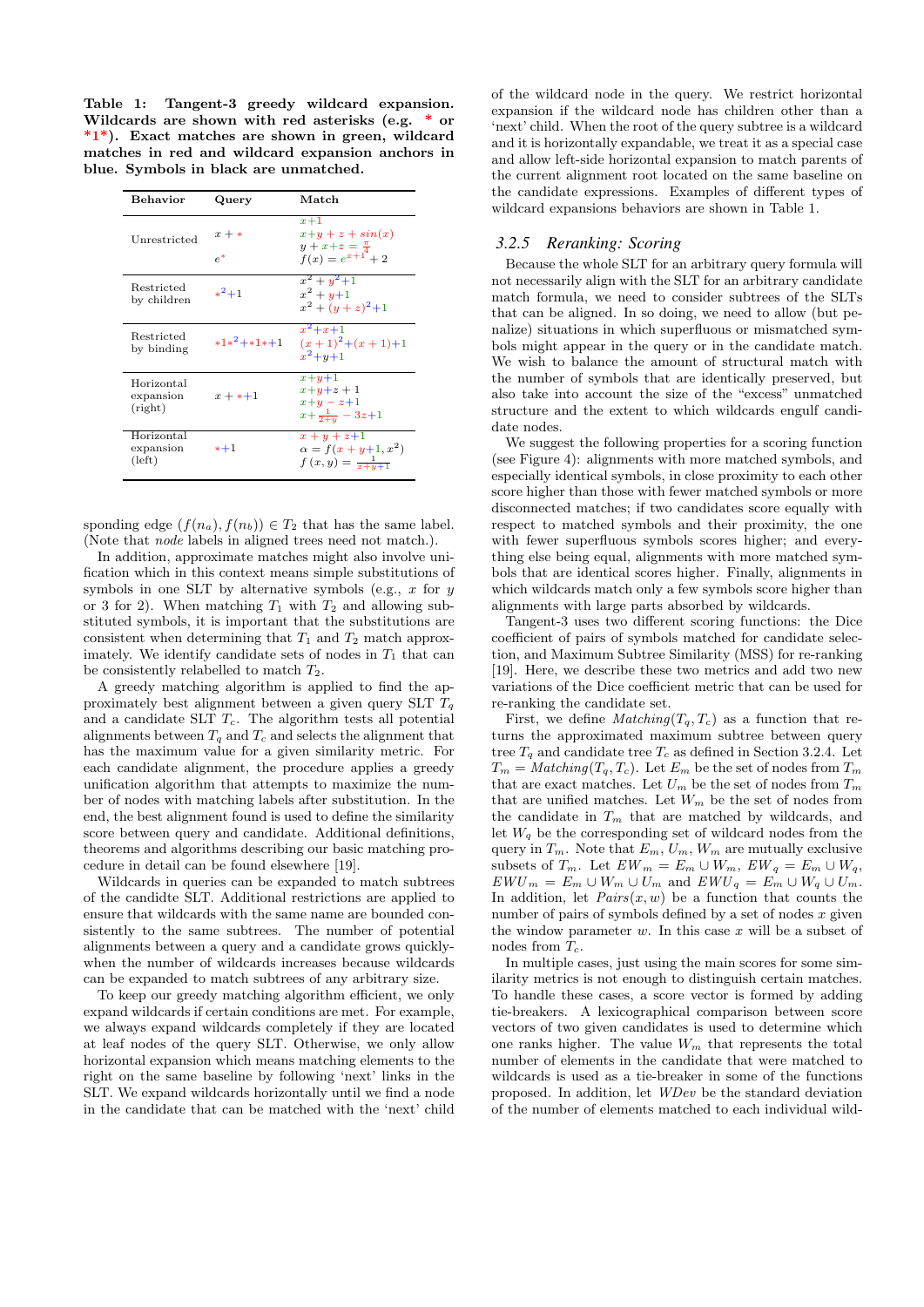Table 1: Tangent-3 greedy wildcard expansion. Wildcards are shown with red asterisks (e.g. \* or \*1\*). Exact matches are shown in green, wildcard matches in red and wildcard expansion anchors in blue. Symbols in black are unmatched.

| Behavior                                   | Query            | Match                                                                              |
|--------------------------------------------|------------------|------------------------------------------------------------------------------------|
| Unrestricted                               | $x + *$<br>$e^*$ | $x+1$<br>$x+y+z+sin(x)$<br>$y + x + z = \frac{\pi}{4}$<br>$f(x) = e^{x+1} + 2$     |
| Restricted<br>by children                  | $*^2 + 1$        | $x^2 + y^2 + 1$<br>$x^2 + y + 1$<br>$x^2 + (y+z)^2 + 1$                            |
| Restricted<br>by binding                   | $*1*^2$ +*1*+1   | $x^2 + x + 1$<br>$(x+1)^2+(x+1)+1$<br>$x^2 + y + 1$                                |
| Horizontal<br>expansion<br>(right)         | $x + * + 1$      | $x + y + 1$<br>$x+y+z+1$<br>$x+y-z+1$<br>$x+\frac{1}{2+x}$ – 3z+1                  |
| Horizontal<br>expansion<br>$(\text{left})$ | $*+1$            | $x + y + z + 1$<br>$\alpha = f(x + y + 1, x^2)$<br>$f(x, y) = \frac{1}{x + y + 1}$ |

sponding edge  $(f(n_a), f(n_b)) \in T_2$  that has the same label. (Note that node labels in aligned trees need not match.).

In addition, approximate matches might also involve unification which in this context means simple substitutions of symbols in one SLT by alternative symbols (e.g.,  $x$  for  $y$ or 3 for 2). When matching  $T_1$  with  $T_2$  and allowing substituted symbols, it is important that the substitutions are consistent when determining that  $T_1$  and  $T_2$  match approximately. We identify candidate sets of nodes in  $T_1$  that can be consistently relabelled to match  $T_2$ .

A greedy matching algorithm is applied to find the approximately best alignment between a given query SLT  $T_q$ and a candidate SLT  $T_c$ . The algorithm tests all potential alignments between  $T_q$  and  $T_c$  and selects the alignment that has the maximum value for a given similarity metric. For each candidate alignment, the procedure applies a greedy unification algorithm that attempts to maximize the number of nodes with matching labels after substitution. In the end, the best alignment found is used to define the similarity score between query and candidate. Additional definitions, theorems and algorithms describing our basic matching procedure in detail can be found elsewhere [19].

Wildcards in queries can be expanded to match subtrees of the candidte SLT. Additional restrictions are applied to ensure that wildcards with the same name are bounded consistently to the same subtrees. The number of potential alignments between a query and a candidate grows quicklywhen the number of wildcards increases because wildcards can be expanded to match subtrees of any arbitrary size.

To keep our greedy matching algorithm efficient, we only expand wildcards if certain conditions are met. For example, we always expand wildcards completely if they are located at leaf nodes of the query SLT. Otherwise, we only allow horizontal expansion which means matching elements to the right on the same baseline by following 'next' links in the SLT. We expand wildcards horizontally until we find a node in the candidate that can be matched with the 'next' child of the wildcard node in the query. We restrict horizontal expansion if the wildcard node has children other than a 'next' child. When the root of the query subtree is a wildcard and it is horizontally expandable, we treat it as a special case and allow left-side horizontal expansion to match parents of the current alignment root located on the same baseline on the candidate expressions. Examples of different types of wildcard expansions behaviors are shown in Table 1.

## *3.2.5 Reranking: Scoring*

Because the whole SLT for an arbitrary query formula will not necessarily align with the SLT for an arbitrary candidate match formula, we need to consider subtrees of the SLTs that can be aligned. In so doing, we need to allow (but penalize) situations in which superfluous or mismatched symbols might appear in the query or in the candidate match. We wish to balance the amount of structural match with the number of symbols that are identically preserved, but also take into account the size of the "excess" unmatched structure and the extent to which wildcards engulf candidate nodes.

We suggest the following properties for a scoring function (see Figure 4): alignments with more matched symbols, and especially identical symbols, in close proximity to each other score higher than those with fewer matched symbols or more disconnected matches; if two candidates score equally with respect to matched symbols and their proximity, the one with fewer superfluous symbols scores higher; and everything else being equal, alignments with more matched symbols that are identical scores higher. Finally, alignments in which wildcards match only a few symbols score higher than alignments with large parts absorbed by wildcards.

Tangent-3 uses two different scoring functions: the Dice coefficient of pairs of symbols matched for candidate selection, and Maximum Subtree Similarity (MSS) for re-ranking [19]. Here, we describe these two metrics and add two new variations of the Dice coefficient metric that can be used for re-ranking the candidate set.

First, we define  $Matching(T_q, T_c)$  as a function that returns the approximated maximum subtree between query tree  $T_q$  and candidate tree  $T_c$  as defined in Section 3.2.4. Let  $T_m = \text{Matching}(T_q, T_c)$ . Let  $E_m$  be the set of nodes from  $T_m$ that are exact matches. Let  $U_m$  be the set of nodes from  $T_m$ that are unified matches. Let  $W_m$  be the set of nodes from the candidate in  $T_m$  that are matched by wildcards, and let  $W_q$  be the corresponding set of wildcard nodes from the query in  $T_m$ . Note that  $E_m$ ,  $U_m$ ,  $W_m$  are mutually exclusive subsets of  $T_m$ . Let  $EW_m = E_m \cup W_m$ ,  $EW_q = E_m \cup W_q$ ,  $EWU_m = E_m \cup W_m \cup U_m$  and  $EWU_q = E_m \cup W_q \cup U_m$ . In addition, let  $Pairs(x, w)$  be a function that counts the number of pairs of symbols defined by a set of nodes  $x$  given the window parameter  $w$ . In this case  $x$  will be a subset of nodes from  $T_c$ .

In multiple cases, just using the main scores for some similarity metrics is not enough to distinguish certain matches. To handle these cases, a score vector is formed by adding tie-breakers. A lexicographical comparison between score vectors of two given candidates is used to determine which one ranks higher. The value  $W_m$  that represents the total number of elements in the candidate that were matched to wildcards is used as a tie-breaker in some of the functions proposed. In addition, let WDev be the standard deviation of the number of elements matched to each individual wild-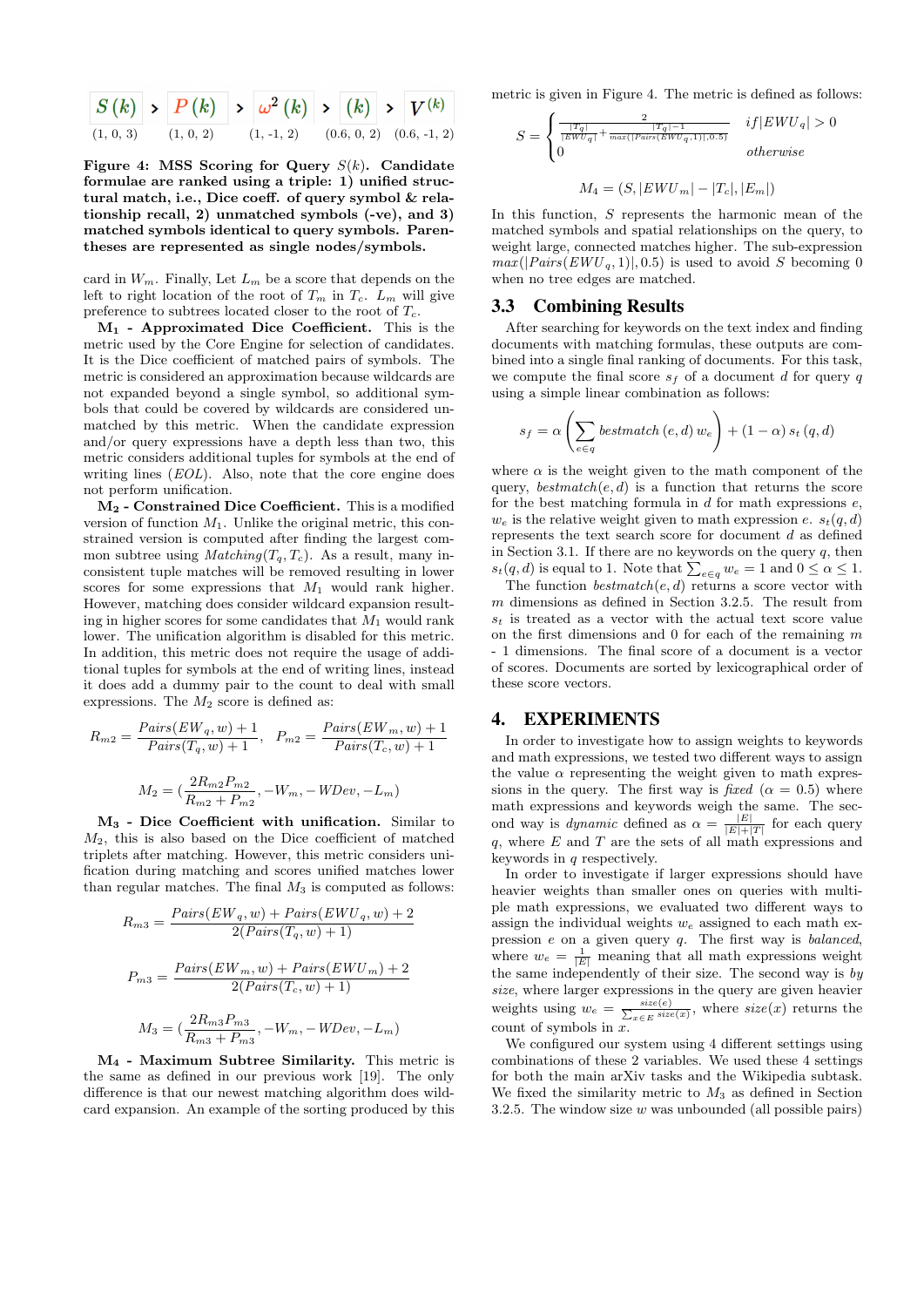

Figure 4: MSS Scoring for Query  $S(k)$ . Candidate formulae are ranked using a triple: 1) unified structural match, i.e., Dice coeff. of query symbol & relationship recall, 2) unmatched symbols (-ve), and 3) matched symbols identical to query symbols. Parentheses are represented as single nodes/symbols.

card in  $W_m$ . Finally, Let  $L_m$  be a score that depends on the left to right location of the root of  $T_m$  in  $T_c$ .  $L_m$  will give preference to subtrees located closer to the root of  $T_c$ .

 $M_1$  - Approximated Dice Coefficient. This is the metric used by the Core Engine for selection of candidates. It is the Dice coefficient of matched pairs of symbols. The metric is considered an approximation because wildcards are not expanded beyond a single symbol, so additional symbols that could be covered by wildcards are considered unmatched by this metric. When the candidate expression and/or query expressions have a depth less than two, this metric considers additional tuples for symbols at the end of writing lines *(EOL)*. Also, note that the core engine does not perform unification.

M<sup>2</sup> - Constrained Dice Coefficient. This is a modified version of function  $M_1$ . Unlike the original metric, this constrained version is computed after finding the largest common subtree using  $Matching(T_q, T_c)$ . As a result, many inconsistent tuple matches will be removed resulting in lower scores for some expressions that  $M_1$  would rank higher. However, matching does consider wildcard expansion resulting in higher scores for some candidates that  $M_1$  would rank lower. The unification algorithm is disabled for this metric. In addition, this metric does not require the usage of additional tuples for symbols at the end of writing lines, instead it does add a dummy pair to the count to deal with small expressions. The  $M_2$  score is defined as:

$$
R_{m2} = \frac{Pairs(EW_q, w) + 1}{Pairs(T_q, w) + 1}, \quad P_{m2} = \frac{Pairs(EW_m, w) + 1}{Pairs(T_c, w) + 1}
$$

$$
M_2 = (\frac{2R_{m2}P_{m2}}{R_{m2} + P_{m2}}, -W_m, -WDev, -L_m)
$$

M<sup>3</sup> - Dice Coefficient with unification. Similar to  $M_2$ , this is also based on the Dice coefficient of matched triplets after matching. However, this metric considers unification during matching and scores unified matches lower than regular matches. The final  $M_3$  is computed as follows:

$$
R_{m3} = \frac{Pairs(EW_q, w) + Pairs(EWU_q, w) + 2}{2(Pairs(T_q, w) + 1)}
$$

$$
P_{m3} = \frac{Pairs(EW_m, w) + Pairs(EWU_m) + 2}{2(Pairs(T_c, w) + 1)}
$$

$$
M_3 = \left(\frac{2R_{m3}P_{m3}}{R_{m3} + P_{m3}}, -W_m, -WDev, -L_m\right)
$$

M<sup>4</sup> - Maximum Subtree Similarity. This metric is the same as defined in our previous work [19]. The only difference is that our newest matching algorithm does wildcard expansion. An example of the sorting produced by this metric is given in Figure 4. The metric is defined as follows:

$$
S = \begin{cases} \frac{2}{\frac{|T_q|}{|EWU_q|} + \frac{|T_q| - 1}{max(|Pairs(EWU_q, 1)|, 0.5)}} & if |EWU_q| > 0\\ 0 & otherwise \end{cases}
$$
  

$$
M_4 = (S, |EWU_m| - |T_c|, |E_m|)
$$

In this function, S represents the harmonic mean of the matched symbols and spatial relationships on the query, to weight large, connected matches higher. The sub-expression  $max(|Pairs(EWU_q, 1)|, 0.5)$  is used to avoid S becoming 0 when no tree edges are matched.

### 3.3 Combining Results

After searching for keywords on the text index and finding documents with matching formulas, these outputs are combined into a single final ranking of documents. For this task, we compute the final score  $s_f$  of a document d for query q using a simple linear combination as follows:

$$
s_f = \alpha \left( \sum_{e \in q} bestmatch(e, d) w_e \right) + (1 - \alpha) s_t (q, d)
$$

where  $\alpha$  is the weight given to the math component of the query,  $bestmatch(e, d)$  is a function that returns the score for the best matching formula in  $d$  for math expressions  $e$ ,  $w_e$  is the relative weight given to math expression e.  $s_t(q, d)$ represents the text search score for document  $d$  as defined in Section 3.1. If there are no keywords on the query  $q$ , then  $s_t(q, d)$  is equal to 1. Note that  $\sum_{e \in q} w_e = 1$  and  $0 \leq \alpha \leq 1$ .

The function  $\mathit{bestmatch}(e, d)$  returns a score vector with m dimensions as defined in Section 3.2.5. The result from  $s_t$  is treated as a vector with the actual text score value on the first dimensions and  $0$  for each of the remaining  $m$ - 1 dimensions. The final score of a document is a vector of scores. Documents are sorted by lexicographical order of these score vectors.

## 4. EXPERIMENTS

In order to investigate how to assign weights to keywords and math expressions, we tested two different ways to assign the value  $\alpha$  representing the weight given to math expressions in the query. The first way is fixed ( $\alpha = 0.5$ ) where math expressions and keywords weigh the same. The second way is *dynamic* defined as  $\alpha = \frac{|E|}{|E|+|T|}$  for each query q, where  $E$  and  $T$  are the sets of all math expressions and keywords in  $q$  respectively.

In order to investigate if larger expressions should have heavier weights than smaller ones on queries with multiple math expressions, we evaluated two different ways to assign the individual weights  $w_e$  assigned to each math expression  $e$  on a given query  $q$ . The first way is *balanced*, where  $w_e = \frac{1}{|E|}$  meaning that all math expressions weight the same independently of their size. The second way is  $by$ size, where larger expressions in the query are given heavier weights using  $w_e = \frac{size(e)}{\sum_{x \in E} size(x)}$ , where  $size(x)$  returns the count of symbols in x.

We configured our system using 4 different settings using combinations of these 2 variables. We used these 4 settings for both the main arXiv tasks and the Wikipedia subtask. We fixed the similarity metric to  $M_3$  as defined in Section 3.2.5. The window size  $w$  was unbounded (all possible pairs)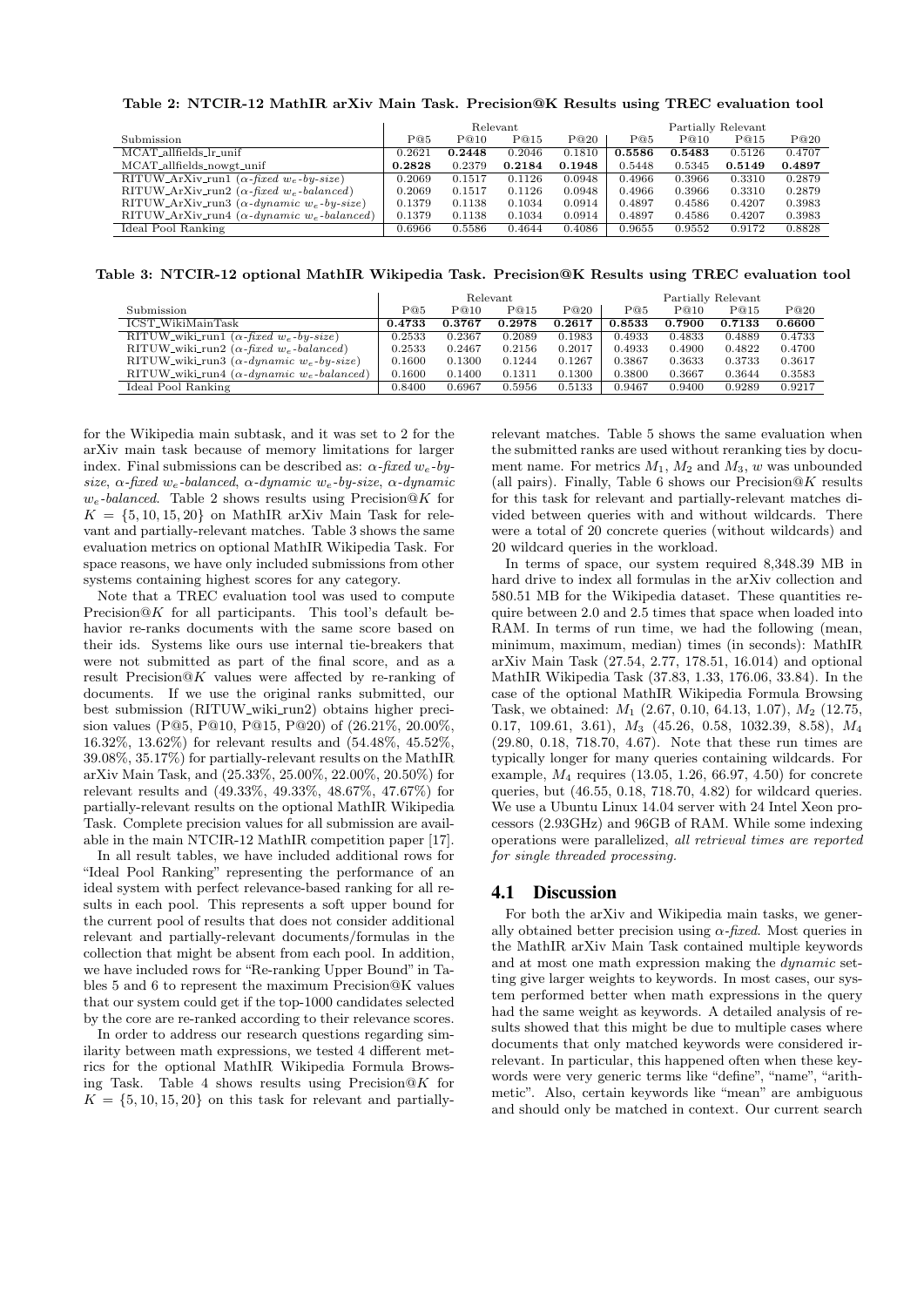|                                                                |        |        | Relevant |        | Partially Relevant |        |        |        |
|----------------------------------------------------------------|--------|--------|----------|--------|--------------------|--------|--------|--------|
| Submission                                                     | P@5    | P@10   | P@15     | P@20   | P@5                | P@10   | P@15   | P@20   |
| MCAT_allfields_lr_unif                                         | 0.2621 | 0.2448 | 0.2046   | 0.1810 | 0.5586             | 0.5483 | 0.5126 | 0.4707 |
| MCAT_allfields_nowgt_unif                                      | 0.2828 | 0.2379 | 0.2184   | 0.1948 | 0.5448             | 0.5345 | 0.5149 | 0.4897 |
| $RITUW_ArXiv_run1 (\alpha$ -fixed $w_e$ -by-size)              | 0.2069 | 0.1517 | 0.1126   | 0.0948 | 0.4966             | 0.3966 | 0.3310 | 0.2879 |
| RITUW_ArXiv_run2 ( $\alpha$ -fixed w <sub>e</sub> -balanced)   | 0.2069 | 0.1517 | 0.1126   | 0.0948 | 0.4966             | 0.3966 | 0.3310 | 0.2879 |
| RITUW_ArXiv_run3 ( $\alpha$ -dynamic w <sub>e</sub> -by-size)  | 0.1379 | 0.1138 | 0.1034   | 0.0914 | 0.4897             | 0.4586 | 0.4207 | 0.3983 |
| RITUW_ArXiv_run4 ( $\alpha$ -dynamic w <sub>e</sub> -balanced) | 0.1379 | 0.1138 | 0.1034   | 0.0914 | 0.4897             | 0.4586 | 0.4207 | 0.3983 |
| Ideal Pool Ranking                                             | 0.6966 | 0.5586 | 0.4644   | 0.4086 | 0.9655             | 0.9552 | 0.9172 | 0.8828 |
|                                                                |        |        |          |        |                    |        |        |        |

Table 3: NTCIR-12 optional MathIR Wikipedia Task. Precision@K Results using TREC evaluation tool

|                                                               | Relevant |        |        |        | Partially Relevant |        |        |        |
|---------------------------------------------------------------|----------|--------|--------|--------|--------------------|--------|--------|--------|
| Submission                                                    | P@5      | P@10   | P@15   | P@20   | P@5                | P@10   | P@15   | P@20   |
| ICST_WikiMainTask                                             | 0.4733   | 0.3767 | 0.2978 | 0.2617 | 0.8533             | 0.7900 | 0.7133 | 0.6600 |
| RITUW_wiki_run1 ( $\alpha$ -fixed w <sub>e</sub> -by-size)    | 0.2533   | 0.2367 | 0.2089 | 0.1983 | 0.4933             | 0.4833 | 0.4889 | 0.4733 |
| RITUW_wiki_run2 ( $\alpha$ -fixed w <sub>e</sub> -balanced)   | 0.2533   | 0.2467 | 0.2156 | 0.2017 | 0.4933             | 0.4900 | 0.4822 | 0.4700 |
| RITUW_wiki_run3 ( $\alpha$ -dynamic w <sub>e</sub> -by-size)  | 0.1600   | 0.1300 | 0.1244 | 0.1267 | 0.3867             | 0.3633 | 0.3733 | 0.3617 |
| RITUW_wiki_run4 ( $\alpha$ -dynamic w <sub>e</sub> -balanced) | 0.1600   | 0.1400 | 0.1311 | 0.1300 | 0.3800             | 0.3667 | 0.3644 | 0.3583 |
| Ideal Pool Ranking                                            | 0.8400   | 0.6967 | 0.5956 | 0.5133 | 0.9467             | 0.9400 | 0.9289 | 0.9217 |

for the Wikipedia main subtask, and it was set to 2 for the arXiv main task because of memory limitations for larger index. Final submissions can be described as:  $\alpha$ -fixed w<sub>e</sub>-bysize,  $\alpha$ -fixed w<sub>e</sub>-balanced,  $\alpha$ -dynamic w<sub>e</sub>-by-size,  $\alpha$ -dynamic  $w_e$ -balanced. Table 2 shows results using Precision@K for  $K = \{5, 10, 15, 20\}$  on MathIR arXiv Main Task for relevant and partially-relevant matches. Table 3 shows the same evaluation metrics on optional MathIR Wikipedia Task. For space reasons, we have only included submissions from other systems containing highest scores for any category.

Note that a TREC evaluation tool was used to compute Precision $@K$  for all participants. This tool's default behavior re-ranks documents with the same score based on their ids. Systems like ours use internal tie-breakers that were not submitted as part of the final score, and as a result Precision@K values were affected by re-ranking of documents. If we use the original ranks submitted, our best submission (RITUW\_wiki\_run2) obtains higher precision values (P@5, P@10, P@15, P@20) of (26.21%, 20.00%, 16.32%, 13.62%) for relevant results and (54.48%, 45.52%, 39.08%, 35.17%) for partially-relevant results on the MathIR arXiv Main Task, and (25.33%, 25.00%, 22.00%, 20.50%) for relevant results and (49.33%, 49.33%, 48.67%, 47.67%) for partially-relevant results on the optional MathIR Wikipedia Task. Complete precision values for all submission are available in the main NTCIR-12 MathIR competition paper [17].

In all result tables, we have included additional rows for "Ideal Pool Ranking" representing the performance of an ideal system with perfect relevance-based ranking for all results in each pool. This represents a soft upper bound for the current pool of results that does not consider additional relevant and partially-relevant documents/formulas in the collection that might be absent from each pool. In addition, we have included rows for "Re-ranking Upper Bound" in Tables 5 and 6 to represent the maximum Precision@K values that our system could get if the top-1000 candidates selected by the core are re-ranked according to their relevance scores.

In order to address our research questions regarding similarity between math expressions, we tested 4 different metrics for the optional MathIR Wikipedia Formula Browsing Task. Table 4 shows results using Precision $@K$  for  $K = \{5, 10, 15, 20\}$  on this task for relevant and partially-

relevant matches. Table 5 shows the same evaluation when the submitted ranks are used without reranking ties by document name. For metrics  $M_1$ ,  $M_2$  and  $M_3$ , w was unbounded (all pairs). Finally, Table 6 shows our Precision@K results for this task for relevant and partially-relevant matches divided between queries with and without wildcards. There were a total of 20 concrete queries (without wildcards) and 20 wildcard queries in the workload.

In terms of space, our system required 8,348.39 MB in hard drive to index all formulas in the arXiv collection and 580.51 MB for the Wikipedia dataset. These quantities require between 2.0 and 2.5 times that space when loaded into RAM. In terms of run time, we had the following (mean, minimum, maximum, median) times (in seconds): MathIR arXiv Main Task (27.54, 2.77, 178.51, 16.014) and optional MathIR Wikipedia Task (37.83, 1.33, 176.06, 33.84). In the case of the optional MathIR Wikipedia Formula Browsing Task, we obtained:  $M_1$  (2.67, 0.10, 64.13, 1.07),  $M_2$  (12.75, 0.17, 109.61, 3.61), M<sup>3</sup> (45.26, 0.58, 1032.39, 8.58), M<sup>4</sup> (29.80, 0.18, 718.70, 4.67). Note that these run times are typically longer for many queries containing wildcards. For example,  $M_4$  requires (13.05, 1.26, 66.97, 4.50) for concrete queries, but (46.55, 0.18, 718.70, 4.82) for wildcard queries. We use a Ubuntu Linux 14.04 server with 24 Intel Xeon processors (2.93GHz) and 96GB of RAM. While some indexing operations were parallelized, all retrieval times are reported for single threaded processing.

## 4.1 Discussion

For both the arXiv and Wikipedia main tasks, we generally obtained better precision using  $\alpha$ -fixed. Most queries in the MathIR arXiv Main Task contained multiple keywords and at most one math expression making the dynamic setting give larger weights to keywords. In most cases, our system performed better when math expressions in the query had the same weight as keywords. A detailed analysis of results showed that this might be due to multiple cases where documents that only matched keywords were considered irrelevant. In particular, this happened often when these keywords were very generic terms like "define", "name", "arithmetic". Also, certain keywords like "mean" are ambiguous and should only be matched in context. Our current search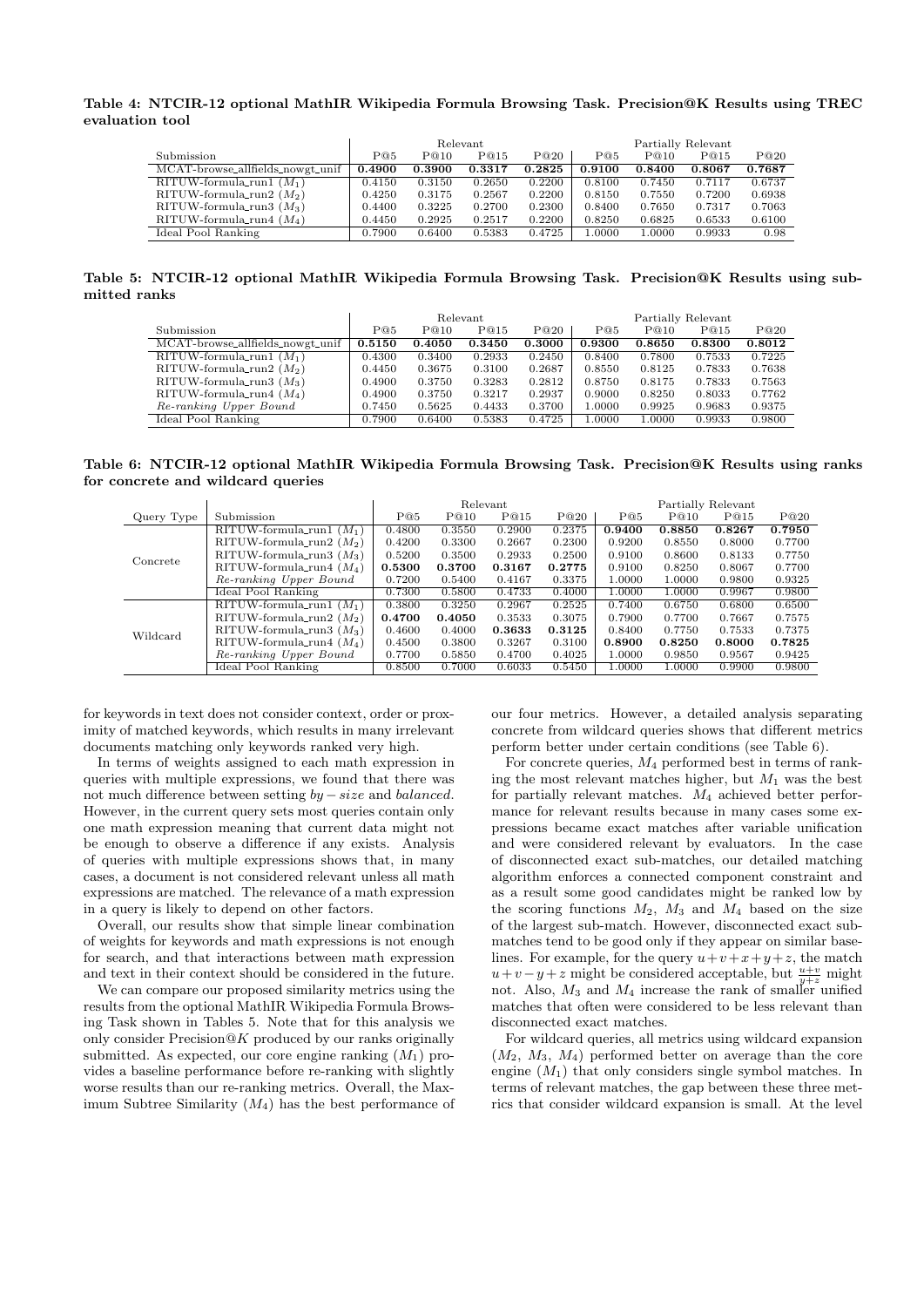#### Table 4: NTCIR-12 optional MathIR Wikipedia Formula Browsing Task. Precision@K Results using TREC evaluation tool

|                                   |        |        | Relevant |        | Partially Relevant |        |        |        |  |
|-----------------------------------|--------|--------|----------|--------|--------------------|--------|--------|--------|--|
| Submission                        | P@5    | P@10   | P@15     | P@20   | P@5                | P@10   | P@15   | P@20   |  |
| MCAT-browse_allfields_nowgt_unif  | 0.4900 | 0.3900 | 0.3317   | 0.2825 | 0.9100             | 0.8400 | 0.8067 | 0.7687 |  |
| $\text{RITUW-formula\_run1}(M_1)$ | 0.4150 | 0.3150 | 0.2650   | 0.2200 | 0.8100             | 0.7450 | 0.7117 | 0.6737 |  |
| RITUW-formula_run2 $(M_2)$        | 0.4250 | 0.3175 | 0.2567   | 0.2200 | 0.8150             | 0.7550 | 0.7200 | 0.6938 |  |
| RITUW-formula_run3 $(M_3)$        | 0.4400 | 0.3225 | 0.2700   | 0.2300 | 0.8400             | 0.7650 | 0.7317 | 0.7063 |  |
| $RITUW$ -formula_run4 $(M_4)$     | 0.4450 | 0.2925 | 0.2517   | 0.2200 | 0.8250             | 0.6825 | 0.6533 | 0.6100 |  |
| Ideal Pool Ranking                | 0.7900 | 0.6400 | 0.5383   | 0.4725 | 1.0000             | 1.0000 | 0.9933 | 0.98   |  |

Table 5: NTCIR-12 optional MathIR Wikipedia Formula Browsing Task. Precision@K Results using submitted ranks

|                                  |        |        | Relevant |        | Partially Relevant |        |        |        |  |
|----------------------------------|--------|--------|----------|--------|--------------------|--------|--------|--------|--|
| Submission                       | P@5    | P@10   | P@15     | P@20   | P@5                | P@10   | P@15   | P@20   |  |
| MCAT-browse_allfields_nowgt_unif | 0.5150 | 0.4050 | 0.3450   | 0.3000 | 0.9300             | 0.8650 | 0.8300 | 0.8012 |  |
| RITUW-formula_run1 $(M_1)$       | 0.4300 | 0.3400 | 0.2933   | 0.2450 | 0.8400             | 0.7800 | 0.7533 | 0.7225 |  |
| RITUW-formula_run2 $(M_2)$       | 0.4450 | 0.3675 | 0.3100   | 0.2687 | 0.8550             | 0.8125 | 0.7833 | 0.7638 |  |
| RITUW-formula_run3 $(M_3)$       | 0.4900 | 0.3750 | 0.3283   | 0.2812 | 0.8750             | 0.8175 | 0.7833 | 0.7563 |  |
| RITUW-formula_run4 $(M_4)$       | 0.4900 | 0.3750 | 0.3217   | 0.2937 | 0.9000             | 0.8250 | 0.8033 | 0.7762 |  |
| Re-ranking Upper Bound           | 0.7450 | 0.5625 | 0.4433   | 0.3700 | 1.0000             | 0.9925 | 0.9683 | 0.9375 |  |
| Ideal Pool Ranking               | 0.7900 | 0.6400 | 0.5383   | 0.4725 | 1.0000             | 1.0000 | 0.9933 | 0.9800 |  |

Table 6: NTCIR-12 optional MathIR Wikipedia Formula Browsing Task. Precision@K Results using ranks for concrete and wildcard queries

|            |                                      |        |        | Relevant |        | Partially Relevant |        |        |        |
|------------|--------------------------------------|--------|--------|----------|--------|--------------------|--------|--------|--------|
| Query Type | Submission                           | P@5    | P@10   | P@15     | P@20   | P@5                | P@10   | P@15   | P@20   |
|            | RITUW-formula_run1 $(M_1)$           | 0.4800 | 0.3550 | 0.2900   | 0.2375 | 0.9400             | 0.8850 | 0.8267 | 0.7950 |
| Concrete   | RITUW-formula_run2 $(M_2)$           | 0.4200 | 0.3300 | 0.2667   | 0.2300 | 0.9200             | 0.8550 | 0.8000 | 0.7700 |
|            | RITUW-formula_run3 $(M_3)$           | 0.5200 | 0.3500 | 0.2933   | 0.2500 | 0.9100             | 0.8600 | 0.8133 | 0.7750 |
|            | RITUW-formula_run4 $(M_4)$           | 0.5300 | 0.3700 | 0.3167   | 0.2775 | 0.9100             | 0.8250 | 0.8067 | 0.7700 |
|            | Re-ranking Upper Bound               | 0.7200 | 0.5400 | 0.4167   | 0.3375 | 1.0000             | 1.0000 | 0.9800 | 0.9325 |
|            | Ideal Pool Ranking                   | 0.7300 | 0.5800 | 0.4733   | 0.4000 | 1.0000             | 1.0000 | 0.9967 | 0.9800 |
|            | RITUW-formula_run1 $(M_1)$           | 0.3800 | 0.3250 | 0.2967   | 0.2525 | 0.7400             | 0.6750 | 0.6800 | 0.6500 |
| Wildcard   | RITUW-formula_run2 $(M_2)$           | 0.4700 | 0.4050 | 0.3533   | 0.3075 | 0.7900             | 0.7700 | 0.7667 | 0.7575 |
|            | RITUW-formula_run3 $(M_3)$           | 0.4600 | 0.4000 | 0.3633   | 0.3125 | 0.8400             | 0.7750 | 0.7533 | 0.7375 |
|            | $\text{RITUW-formula\_run4}$ $(M_4)$ | 0.4500 | 0.3800 | 0.3267   | 0.3100 | 0.8900             | 0.8250 | 0.8000 | 0.7825 |
|            | Re-ranking Upper Bound               | 0.7700 | 0.5850 | 0.4700   | 0.4025 | 1.0000             | 0.9850 | 0.9567 | 0.9425 |
|            | Ideal Pool Ranking                   | 0.8500 | 0.7000 | 0.6033   | 0.5450 | 1.0000             | 1.0000 | 0.9900 | 0.9800 |

for keywords in text does not consider context, order or proximity of matched keywords, which results in many irrelevant documents matching only keywords ranked very high.

In terms of weights assigned to each math expression in queries with multiple expressions, we found that there was not much difference between setting  $by - size$  and balanced. However, in the current query sets most queries contain only one math expression meaning that current data might not be enough to observe a difference if any exists. Analysis of queries with multiple expressions shows that, in many cases, a document is not considered relevant unless all math expressions are matched. The relevance of a math expression in a query is likely to depend on other factors.

Overall, our results show that simple linear combination of weights for keywords and math expressions is not enough for search, and that interactions between math expression and text in their context should be considered in the future.

We can compare our proposed similarity metrics using the results from the optional MathIR Wikipedia Formula Browsing Task shown in Tables 5. Note that for this analysis we only consider  $Precision@K$  produced by our ranks originally submitted. As expected, our core engine ranking  $(M_1)$  provides a baseline performance before re-ranking with slightly worse results than our re-ranking metrics. Overall, the Maximum Subtree Similarity  $(M_4)$  has the best performance of our four metrics. However, a detailed analysis separating concrete from wildcard queries shows that different metrics perform better under certain conditions (see Table 6).

For concrete queries,  $M_4$  performed best in terms of ranking the most relevant matches higher, but  $M_1$  was the best for partially relevant matches.  $M_4$  achieved better performance for relevant results because in many cases some expressions became exact matches after variable unification and were considered relevant by evaluators. In the case of disconnected exact sub-matches, our detailed matching algorithm enforces a connected component constraint and as a result some good candidates might be ranked low by the scoring functions  $M_2$ ,  $M_3$  and  $M_4$  based on the size of the largest sub-match. However, disconnected exact submatches tend to be good only if they appear on similar baselines. For example, for the query  $u+v+x+y+z$ , the match  $u+v-y+z$  might be considered acceptable, but  $\frac{u+v}{y+z}$  might not. Also,  $M_3$  and  $M_4$  increase the rank of smaller unified matches that often were considered to be less relevant than disconnected exact matches.

For wildcard queries, all metrics using wildcard expansion  $(M_2, M_3, M_4)$  performed better on average than the core engine  $(M_1)$  that only considers single symbol matches. In terms of relevant matches, the gap between these three metrics that consider wildcard expansion is small. At the level